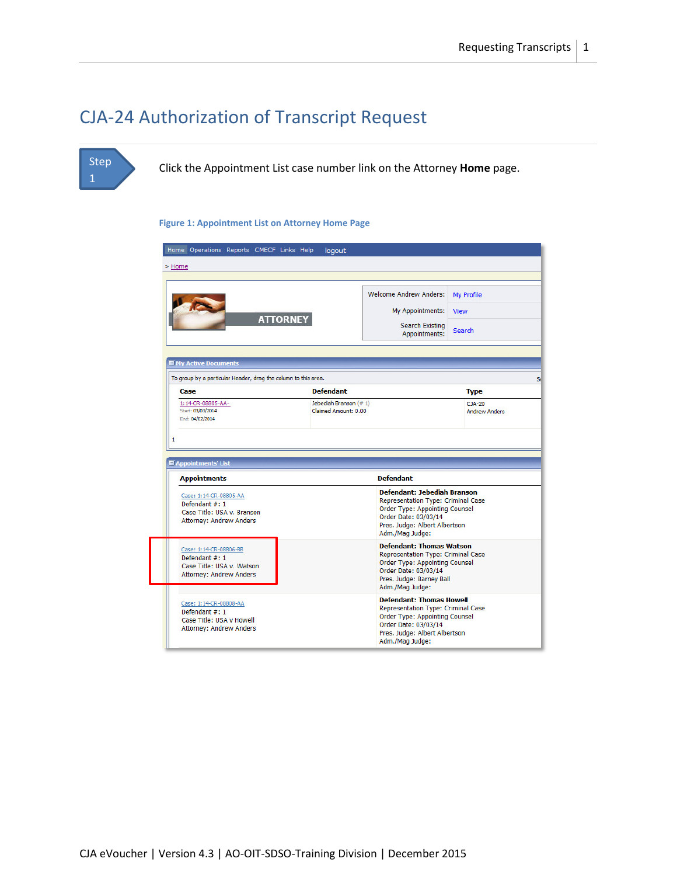## CJA-24 Authorization of Transcript Request

### Step 1

Click the Appointment List case number link on the Attorney **Home** page.

#### **Figure 1: Appointment List on Attorney Home Page**

| > Home                                                                                                  |                                                |                                                                                                                                                                                               |                                  |  |
|---------------------------------------------------------------------------------------------------------|------------------------------------------------|-----------------------------------------------------------------------------------------------------------------------------------------------------------------------------------------------|----------------------------------|--|
|                                                                                                         |                                                | <b>Welcome Andrew Anders:</b>                                                                                                                                                                 | My Profile                       |  |
|                                                                                                         | <b>ATTORNEY</b>                                | My Appointments:<br>Search Existing                                                                                                                                                           | <b>View</b>                      |  |
|                                                                                                         |                                                | Appointments:                                                                                                                                                                                 | <b>Search</b>                    |  |
| My Active Documents                                                                                     |                                                |                                                                                                                                                                                               |                                  |  |
| To group by a particular Header, drag the column to this area.<br>Case                                  | <b>Defendant</b>                               |                                                                                                                                                                                               | <b>Type</b>                      |  |
| 1:14-CR-08805-AA-<br>Start: 03/03/2014                                                                  | Jebediah Branson (# 1)<br>Claimed Amount: 0.00 |                                                                                                                                                                                               | $CJA-20$<br><b>Andrew Anders</b> |  |
|                                                                                                         |                                                |                                                                                                                                                                                               |                                  |  |
| End: 04/02/2014<br>Appointments' List<br><b>Appointments</b>                                            |                                                | <b>Defendant</b>                                                                                                                                                                              |                                  |  |
| Case: 1:14-CR-08805-AA<br>Defendant #: 1<br>Case Title: USA v. Branson<br>Attorney: Andrew Anders       |                                                | <b>Defendant: Jebediah Branson</b><br><b>Representation Type: Criminal Case</b><br>Order Type: Appointing Counsel<br>Order Date: 03/03/14<br>Pres. Judge: Albert Albertson<br>Adm./Mag Judge: |                                  |  |
| Case: 1:14-CR-08806-BB<br>Defendant #: 1<br>Case Title: USA v. Watson<br><b>Attorney: Andrew Anders</b> |                                                | <b>Defendant: Thomas Watson</b><br>Representation Type: Criminal Case<br>Order Type: Appointing Counsel<br>Order Date: 03/03/14<br>Pres. Judge: Barney Ball<br>Adm./Mag Judge:                |                                  |  |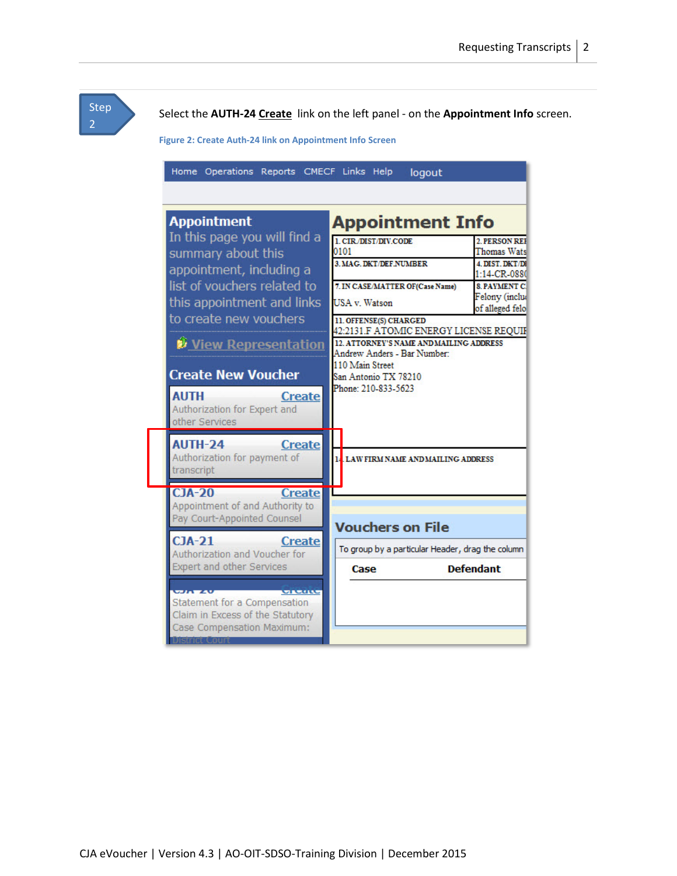Step

Select the **AUTH-24 Create** link on the left panel - on the **Appointment Info** screen.

**Figure 2: Create Auth-24 link on Appointment Info Screen**

| Home Operations Reports CMECF Links Help                                      | logout                                                                            |                                       |
|-------------------------------------------------------------------------------|-----------------------------------------------------------------------------------|---------------------------------------|
|                                                                               |                                                                                   |                                       |
| <b>Appointment</b>                                                            | <b>Appointment Info</b>                                                           |                                       |
| In this page you will find a<br>summary about this                            | 1. CIR/DIST/DIV.CODE<br>0101                                                      | 2. PERSON REE<br>Thomas Wats          |
| appointment, including a                                                      | <b>3 MAG DKT/DEF NUMBER</b>                                                       | <b>4 DIST DKT/DI</b><br>1:14-CR-0880  |
| list of vouchers related to<br>this appointment and links                     | 7. IN CASE/MATTER OF(Case Name)<br>USA v. Watson                                  | <b>8 PAYMENT C.</b><br>Felony (inclue |
| to create new vouchers                                                        | 11. OFFENSE(S) CHARGED                                                            | of alleged felo                       |
| <b><i>View Representation</i></b>                                             | 42:2131.F ATOMIC ENERGY LICENSE REQUIF<br>12. ATTORNEY'S NAME AND MAILING ADDRESS |                                       |
|                                                                               | Andrew Anders - Bar Number:<br>110 Main Street                                    |                                       |
| <b>Create New Voucher</b><br><b>AUTH</b>                                      | San Antonio TX 78210<br>Phone: 210-833-5623                                       |                                       |
| <b>Create</b><br>Authorization for Expert and<br>other Services               |                                                                                   |                                       |
| <b>AUTH-24</b><br><b>Create</b><br>Authorization for payment of<br>transcript | 14 LAW FIRM NAME AND MAILING ADDRESS                                              |                                       |
| C <sub>1</sub> A-20<br><b>Create</b>                                          |                                                                                   |                                       |
| Appointment of and Authority to<br>Pay Court-Appointed Counsel                |                                                                                   |                                       |
| $CIA-21$<br><b>Create</b>                                                     | <b>Vouchers on File</b>                                                           |                                       |
| Authorization and Voucher for<br><b>Expert and other Services</b>             | To group by a particular Header, drag the column<br>Case                          | <b>Defendant</b>                      |
| <b>WELL WALK</b><br><b>MARCHAE</b>                                            |                                                                                   |                                       |
| Statement for a Compensation<br>Claim in Excess of the Statutory              |                                                                                   |                                       |
| Case Compensation Maximum:                                                    |                                                                                   |                                       |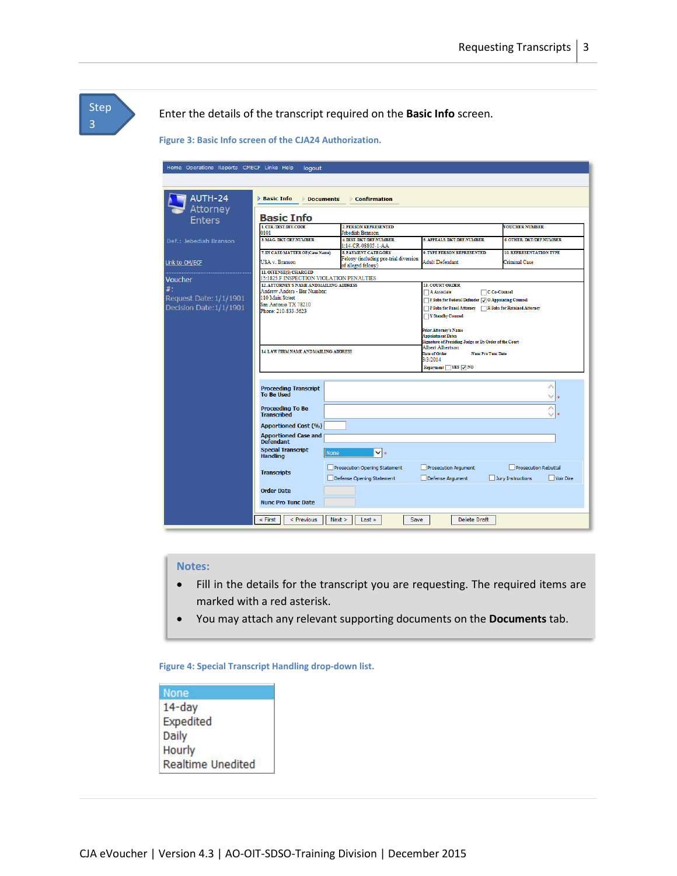| <b>Step</b><br>3 | Enter the details of the transcript required on the Basic Info screen.<br>Figure 3: Basic Info screen of the CJA24 Authorization. |                                                                                                                                                                                                                                                         |                                                                                                                 |                                                                                                                                                                                                                                                                                                                                                                                             |                                                               |
|------------------|-----------------------------------------------------------------------------------------------------------------------------------|---------------------------------------------------------------------------------------------------------------------------------------------------------------------------------------------------------------------------------------------------------|-----------------------------------------------------------------------------------------------------------------|---------------------------------------------------------------------------------------------------------------------------------------------------------------------------------------------------------------------------------------------------------------------------------------------------------------------------------------------------------------------------------------------|---------------------------------------------------------------|
|                  |                                                                                                                                   |                                                                                                                                                                                                                                                         |                                                                                                                 |                                                                                                                                                                                                                                                                                                                                                                                             |                                                               |
|                  | Home Operations Reports CMECF Links Help                                                                                          | logout                                                                                                                                                                                                                                                  |                                                                                                                 |                                                                                                                                                                                                                                                                                                                                                                                             |                                                               |
|                  | $AUTH-24$                                                                                                                         | <b>Basic Info</b><br><b>Documents</b>                                                                                                                                                                                                                   | <b>▶ Confirmation</b>                                                                                           |                                                                                                                                                                                                                                                                                                                                                                                             |                                                               |
|                  | Attorney<br><b>Enters</b>                                                                                                         | <b>Basic Info</b>                                                                                                                                                                                                                                       |                                                                                                                 |                                                                                                                                                                                                                                                                                                                                                                                             |                                                               |
|                  | Def.: Jebediah Branson                                                                                                            | 1. CIR/DIST/DIV.CODE<br>0101<br>3. MAG. DKT/DEF.NUMBER                                                                                                                                                                                                  | 2. PERSON REPRESENTED<br>Jebediah Branson<br><b>4. DIST. DKT/DEF.NUMBER</b>                                     | 5. APPEALS. DKT/DEF.NUMBER                                                                                                                                                                                                                                                                                                                                                                  | <b>VOUCHER NUMBER</b><br>6. OTHER. DKT/DEF.NUMBER             |
|                  | Link to CM/ECF                                                                                                                    | 7. IN CASE/MATTER OF(Case Name)<br><b>USA v. Branson</b>                                                                                                                                                                                                | 1:14-CR-08805-1-AA<br><b>8. PAYMENT CATEGORY</b><br>Felony (including pre-trial diversion<br>of alleged felony) | 9. TYPE PERSON REPRESENTED<br><b>Adult Defendant</b>                                                                                                                                                                                                                                                                                                                                        | <b>10. REPRESENTATION TYPE</b><br><b>Criminal Case</b>        |
|                  | Voucher<br>$#$ :<br>Request Date: 1/1/1901<br>Decision Date: 1/1/1901                                                             | 11. OFFENSE(S) CHARGED<br>15:1825.F INSPECTION VIOLATION PENALTIES<br>12. ATTORNEY'S NAME AND MAILING ADDRESS<br>Andrew Anders - Bar Number:<br>110 Main Street<br>San Antonio TX 78210<br>Phone: 210-833-5623<br>14. LAW FIRM NAME AND MAILING ADDRESS |                                                                                                                 | <b>13. COURT ORDER</b><br>A Associate<br>F Subs for Federal Defender J O Appointing Counsel<br>P Subs for Panel Attorney R Subs for Retained Attorney<br>Y Standby Counsel<br><b>Prior Attorney's Name</b><br><b>Appointment Dates</b><br>Signature of Presiding Judge or By Order of the Court<br><b>Albert Albertson</b><br><b>Date of Order</b><br><b>Nunc Pro Tunc Date</b><br>3/3/2014 | C Co-Counsel                                                  |
|                  |                                                                                                                                   | <b>Proceeding Transcript</b><br><b>To Be Used</b><br><b>Proceeding To Be</b><br><b>Transcribed</b>                                                                                                                                                      |                                                                                                                 | Repayment VES V NO                                                                                                                                                                                                                                                                                                                                                                          | ×<br>$\checkmark$<br>$\land$<br>$\checkmark$                  |
|                  |                                                                                                                                   | <b>Apportioned Cost (%)</b><br><b>Apportioned Case and</b><br><b>Defendant</b><br><b>Special Transcript</b><br>None<br><b>Handling</b>                                                                                                                  | $\mathbf{v}$ :                                                                                                  |                                                                                                                                                                                                                                                                                                                                                                                             |                                                               |
|                  |                                                                                                                                   | <b>Transcripts</b><br><b>Order Date</b><br><b>Nunc Pro Tunc Date</b>                                                                                                                                                                                    | Prosecution Opening Statement<br>Defense Opening Statement                                                      | Prosecution Argument<br>Defense Argument                                                                                                                                                                                                                                                                                                                                                    | <b>Prosecution Rebuttal</b><br>Jury Instructions<br>Voir Dire |

#### **Notes:**

- Fill in the details for the transcript you are requesting. The required items are marked with a red asterisk.
- You may attach any relevant supporting documents on the **Documents** tab.

**Figure 4: Special Transcript Handling drop-down list.**

| None                     |
|--------------------------|
| 14-day                   |
| Expedited                |
| Daily                    |
| Hourly                   |
| <b>Realtime Unedited</b> |